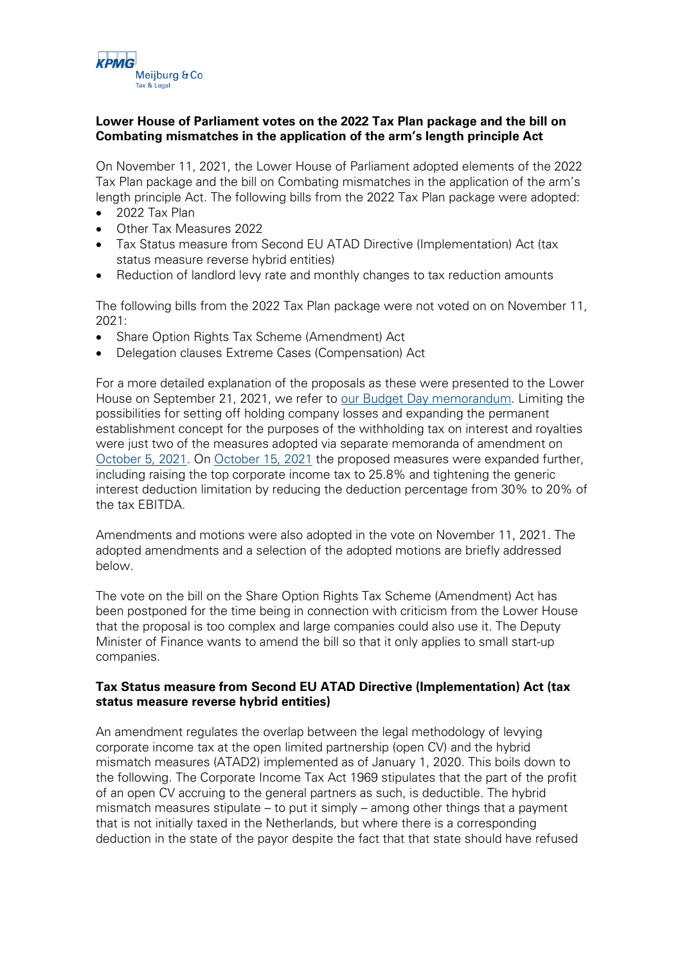

# **Lower House of Parliament votes on the 2022 Tax Plan package and the bill on Combating mismatches in the application of the arm's length principle Act**

On November 11, 2021, the Lower House of Parliament adopted elements of the 2022 Tax Plan package and the bill on Combating mismatches in the application of the arm's length principle Act. The following bills from the 2022 Tax Plan package were adopted:

- 2022 Tax Plan
- Other Tax Measures 2022
- Tax Status measure from Second EU ATAD Directive (Implementation) Act (tax status measure reverse hybrid entities)
- Reduction of landlord levy rate and monthly changes to tax reduction amounts

The following bills from the 2022 Tax Plan package were not voted on on November 11, 2021:

- Share Option Rights Tax Scheme (Amendment) Act
- Delegation clauses Extreme Cases (Compensation) Act

For a more detailed explanation of the proposals as these were presented to the Lower House on September 21, 2021, we refer to [our Budget Day memorandum.](https://meijburg.com/news/tax-measures-2022) Limiting the possibilities for setting off holding company losses and expanding the permanent establishment concept for the purposes of the withholding tax on interest and royalties were just two of the measures adopted via separate memoranda of amendment on [October 5, 2021.](https://meijburg.com/news/2022-tax-plan-package-amended-memorandums-amendment) On [October 15, 2021](https://meijburg.com/news/2022-tax-plan-package-amended-again-memorandums-amendment) the proposed measures were expanded further, including raising the top corporate income tax to 25.8% and tightening the generic interest deduction limitation by reducing the deduction percentage from 30% to 20% of the tax EBITDA.

Amendments and motions were also adopted in the vote on November 11, 2021. The adopted amendments and a selection of the adopted motions are briefly addressed below.

The vote on the bill on the Share Option Rights Tax Scheme (Amendment) Act has been postponed for the time being in connection with criticism from the Lower House that the proposal is too complex and large companies could also use it. The Deputy Minister of Finance wants to amend the bill so that it only applies to small start-up companies.

## **Tax Status measure from Second EU ATAD Directive (Implementation) Act (tax status measure reverse hybrid entities)**

An amendment regulates the overlap between the legal methodology of levying corporate income tax at the open limited partnership (open CV) and the hybrid mismatch measures (ATAD2) implemented as of January 1, 2020. This boils down to the following. The Corporate Income Tax Act 1969 stipulates that the part of the profit of an open CV accruing to the general partners as such, is deductible. The hybrid mismatch measures stipulate – to put it simply – among other things that a payment that is not initially taxed in the Netherlands, but where there is a corresponding deduction in the state of the payor despite the fact that that state should have refused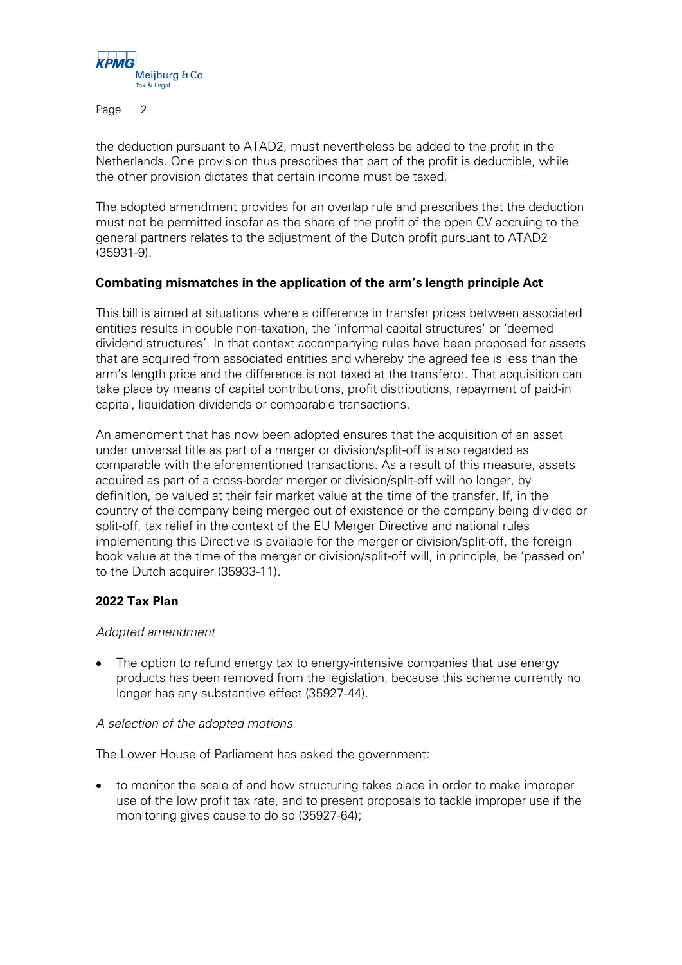

Page 2

the deduction pursuant to ATAD2, must nevertheless be added to the profit in the Netherlands. One provision thus prescribes that part of the profit is deductible, while the other provision dictates that certain income must be taxed.

The adopted amendment provides for an overlap rule and prescribes that the deduction must not be permitted insofar as the share of the profit of the open CV accruing to the general partners relates to the adjustment of the Dutch profit pursuant to ATAD2 (35931-9).

## **Combating mismatches in the application of the arm's length principle Act**

This bill is aimed at situations where a difference in transfer prices between associated entities results in double non-taxation, the 'informal capital structures' or 'deemed dividend structures'. In that context accompanying rules have been proposed for assets that are acquired from associated entities and whereby the agreed fee is less than the arm's length price and the difference is not taxed at the transferor. That acquisition can take place by means of capital contributions, profit distributions, repayment of paid-in capital, liquidation dividends or comparable transactions.

An amendment that has now been adopted ensures that the acquisition of an asset under universal title as part of a merger or division/split-off is also regarded as comparable with the aforementioned transactions. As a result of this measure, assets acquired as part of a cross-border merger or division/split-off will no longer, by definition, be valued at their fair market value at the time of the transfer. If, in the country of the company being merged out of existence or the company being divided or split-off, tax relief in the context of the EU Merger Directive and national rules implementing this Directive is available for the merger or division/split-off, the foreign book value at the time of the merger or division/split-off will, in principle, be 'passed on' to the Dutch acquirer (35933-11).

## **2022 Tax Plan**

#### Adopted amendment

• The option to refund energy tax to energy-intensive companies that use energy products has been removed from the legislation, because this scheme currently no longer has any substantive effect (35927-44).

#### A selection of the adopted motions

The Lower House of Parliament has asked the government:

• to monitor the scale of and how structuring takes place in order to make improper use of the low profit tax rate, and to present proposals to tackle improper use if the monitoring gives cause to do so (35927-64);